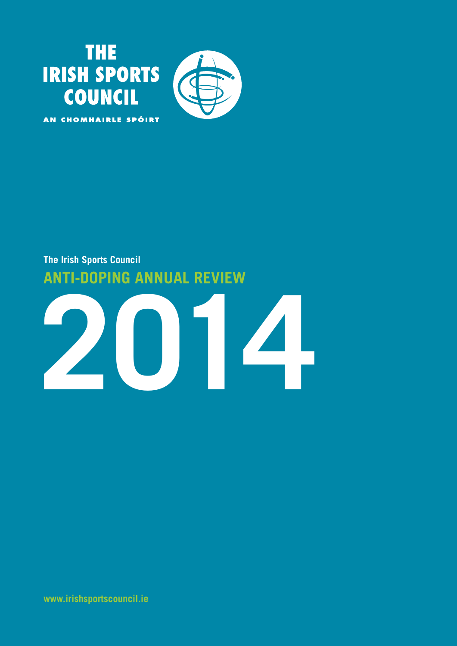



AN CHOMHAIRLE SPÓIRT

## **ANTI-DOPING ANNUAL REVIEW The Irish Sports Council**



**www.irishsportscouncil.ie**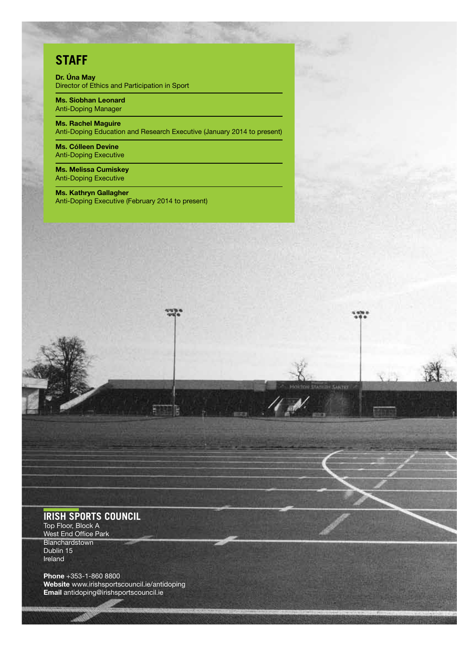## **STAFF**

**Dr. Úna May**  Director of Ethics and Participation in Sport

**Ms. Siobhan Leonard** Anti-Doping Manager

**Ms. Rachel Maguire**  Anti-Doping Education and Research Executive (January 2014 to present)

VARIDI SAATE

**Ms. Cólleen Devine** Anti-Doping Executive

w

**Ms. Melissa Cumiskey** Anti-Doping Executive

**Ms. Kathryn Gallagher**  Anti-Doping Executive (February 2014 to present)

**IRISH SPORTS COUNCIL**

Top Floor, Block A West End Office Park Blanchardstown Dublin 15 Ireland

**Phone** +353-1-860 8800 **Website** www.irishsportscouncil.ie/antidoping **Email** antidoping@irishsportscouncil.ie

**2** Anti-doping Annual Review 2014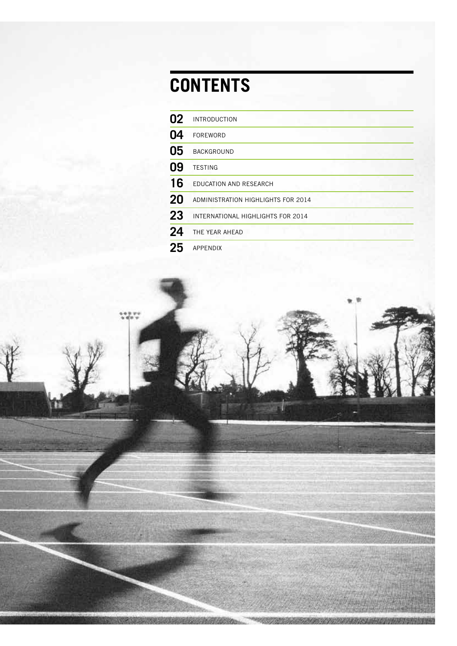## **CONTENTS**

| 02 | <b>INTRODUCTION</b>                |
|----|------------------------------------|
| 04 | <b>FOREWORD</b>                    |
| 05 | <b>BACKGROUND</b>                  |
| 09 | <b>TESTING</b>                     |
| 16 | EDUCATION AND RESEARCH             |
| 20 | ADMINISTRATION HIGHLIGHTS FOR 2014 |
| 23 | INTERNATIONAL HIGHLIGHTS FOR 2014  |
| 24 | THE YEAR AHEAD                     |
| 25 | <b>APPENDIX</b>                    |

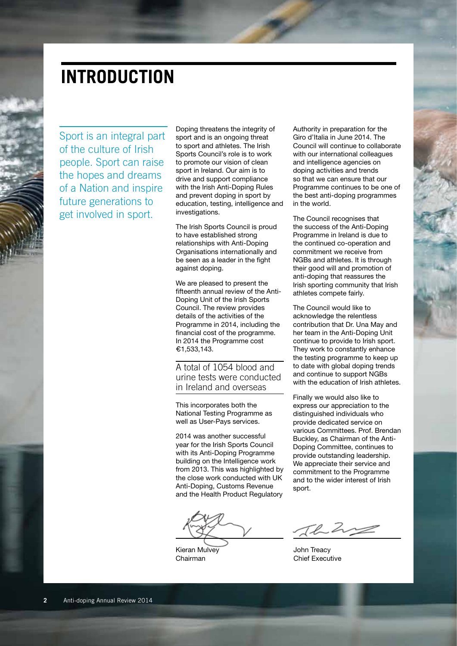## **INTRODUCTION**

Sport is an integral part of the culture of Irish people. Sport can raise the hopes and dreams of a Nation and inspire future generations to get involved in sport.

Doping threatens the integrity of sport and is an ongoing threat to sport and athletes. The Irish Sports Council's role is to work to promote our vision of clean sport in Ireland. Our aim is to drive and support compliance with the Irish Anti-Doping Rules and prevent doping in sport by education, testing, intelligence and investigations.

The Irish Sports Council is proud to have established strong relationships with Anti-Doping Organisations internationally and be seen as a leader in the fight against doping.

We are pleased to present the fifteenth annual review of the Anti-Doping Unit of the Irish Sports Council. The review provides details of the activities of the Programme in 2014, including the financial cost of the programme. In 2014 the Programme cost €1,533,143.

A total of 1054 blood and urine tests were conducted in Ireland and overseas

This incorporates both the National Testing Programme as well as User-Pays services.

2014 was another successful year for the Irish Sports Council with its Anti-Doping Programme building on the Intelligence work from 2013. This was highlighted by the close work conducted with UK Anti-Doping, Customs Revenue and the Health Product Regulatory

Kieran Mulvey Chairman

Authority in preparation for the Giro d'Italia in June 2014. The Council will continue to collaborate with our international colleagues and intelligence agencies on doping activities and trends so that we can ensure that our Programme continues to be one of the best anti-doping programmes in the world.

The Council recognises that the success of the Anti-Doping Programme in Ireland is due to the continued co-operation and commitment we receive from NGBs and athletes. It is through their good will and promotion of anti-doping that reassures the Irish sporting community that Irish athletes compete fairly.

The Council would like to acknowledge the relentless contribution that Dr. Una May and her team in the Anti-Doping Unit continue to provide to Irish sport. They work to constantly enhance the testing programme to keep up to date with global doping trends and continue to support NGBs with the education of Irish athletes.

Finally we would also like to express our appreciation to the distinguished individuals who provide dedicated service on various Committees. Prof. Brendan Buckley, as Chairman of the Anti-Doping Committee, continues to provide outstanding leadership. We appreciate their service and commitment to the Programme and to the wider interest of Irish sport.

Tha

John Treacy Chief Executive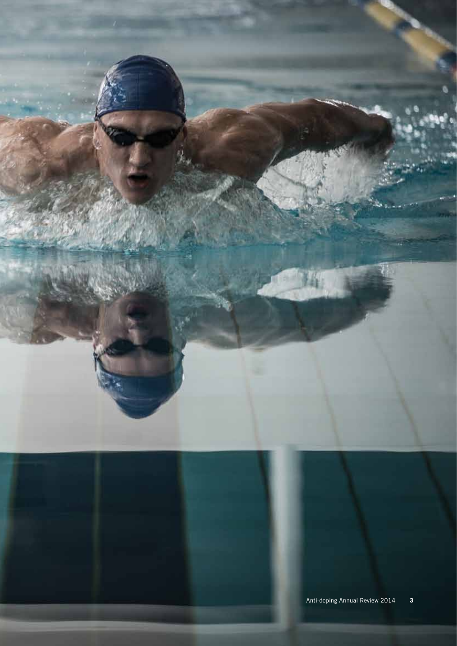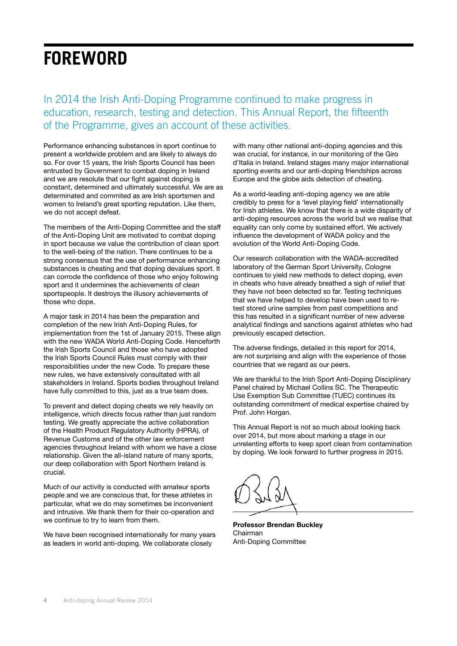## **FOREWORD**

In 2014 the Irish Anti-Doping Programme continued to make progress in education, research, testing and detection. This Annual Report, the fifteenth of the Programme, gives an account of these activities.

Performance enhancing substances in sport continue to present a worldwide problem and are likely to always do so. For over 15 years, the Irish Sports Council has been entrusted by Government to combat doping in Ireland and we are resolute that our fight against doping is constant, determined and ultimately successful. We are as determinated and commited as are Irish sportsmen and women to Ireland's great sporting reputation. Like them, we do not accept defeat.

The members of the Anti-Doping Committee and the staff of the Anti-Doping Unit are motivated to combat doping in sport because we value the contribution of clean sport to the well-being of the nation. There continues to be a strong consensus that the use of performance enhancing substances is cheating and that doping devalues sport. It can corrode the confidence of those who enjoy following sport and it undermines the achievements of clean sportspeople. It destroys the illusory achievements of those who dope.

A major task in 2014 has been the preparation and completion of the new Irish Anti-Doping Rules, for implementation from the 1st of January 2015. These align with the new WADA World Anti-Doping Code. Henceforth the Irish Sports Council and those who have adopted the Irish Sports Council Rules must comply with their responsibilities under the new Code. To prepare these new rules, we have extensively consultated with all stakeholders in Ireland. Sports bodies throughout Ireland have fully committed to this, just as a true team does.

To prevent and detect doping cheats we rely heavily on intelligence, which directs focus rather than just random testing. We greatly appreciate the active collaboration of the Health Product Regulatory Authority (HPRA), of Revenue Customs and of the other law enforcement agencies throughout Ireland with whom we have a close relationship. Given the all-island nature of many sports, our deep collaboration with Sport Northern Ireland is crucial.

Much of our activity is conducted with amateur sports people and we are conscious that, for these athletes in particular, what we do may sometimes be inconvenient and intrusive. We thank them for their co-operation and we continue to try to learn from them.

We have been recognised internationally for many years as leaders in world anti-doping. We collaborate closely

with many other national anti-doping agencies and this was crucial, for instance, in our monitoring of the Giro d'Italia in Ireland. Ireland stages many major international sporting events and our anti-doping friendships across Europe and the globe aids detection of cheating.

As a world-leading anti-doping agency we are able credibly to press for a 'level playing field' internationally for Irish athletes. We know that there is a wide disparity of anti-doping resources across the world but we realise that equality can only come by sustained effort. We actively influence the development of WADA policy and the evolution of the World Anti-Doping Code.

Our research collaboration with the WADA-accredited laboratory of the German Sport University, Cologne continues to yield new methods to detect doping, even in cheats who have already breathed a sigh of relief that they have not been detected so far. Testing techniques that we have helped to develop have been used to retest stored urine samples from past competitions and this has resulted in a significant number of new adverse analytical findings and sanctions against athletes who had previously escaped detection.

The adverse findings, detailed in this report for 2014, are not surprising and align with the experience of those countries that we regard as our peers.

We are thankful to the Irish Sport Anti-Doping Disciplinary Panel chaired by Michael Collins SC. The Therapeutic Use Exemption Sub Committee (TUEC) continues its outstanding commitment of medical expertise chaired by Prof. John Horgan.

This Annual Report is not so much about looking back over 2014, but more about marking a stage in our unrelenting efforts to keep sport clean from contamination by doping. We look forward to further progress in 2015.

**Professor Brendan Buckley** Chairman Anti-Doping Committee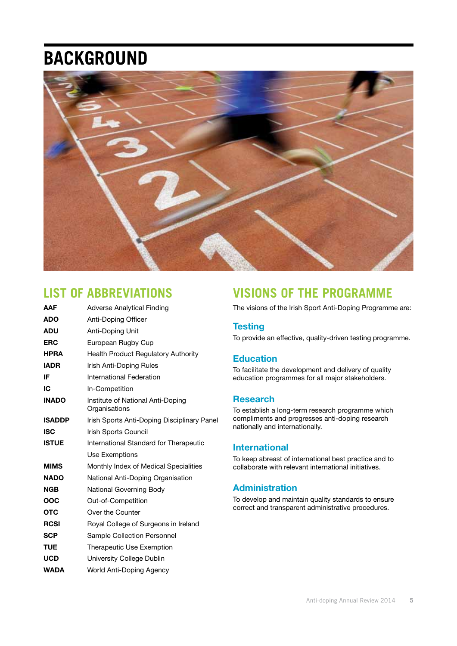## **BACKGROUND**



## **LIST OF ABBREVIATIONS**

| AAF           | <b>Adverse Analytical Finding</b>                  |
|---------------|----------------------------------------------------|
| <b>ADO</b>    | Anti-Doping Officer                                |
| <b>ADU</b>    | Anti-Doping Unit                                   |
| <b>ERC</b>    | European Rugby Cup                                 |
| <b>HPRA</b>   | <b>Health Product Regulatory Authority</b>         |
| <b>IADR</b>   | Irish Anti-Doping Rules                            |
| IF            | International Federation                           |
| ΙC            | In-Competition                                     |
| <b>INADO</b>  | Institute of National Anti-Doping<br>Organisations |
| <b>ISADDP</b> | Irish Sports Anti-Doping Disciplinary Panel        |
| <b>ISC</b>    | Irish Sports Council                               |
| <b>ISTUE</b>  | International Standard for Therapeutic             |
|               | Use Exemptions                                     |
| <b>MIMS</b>   | Monthly Index of Medical Specialities              |
| <b>NADO</b>   | National Anti-Doping Organisation                  |
| <b>NGB</b>    | National Governing Body                            |
| OOC           | Out-of-Competition                                 |
| <b>OTC</b>    | Over the Counter                                   |
| <b>RCSI</b>   | Royal College of Surgeons in Ireland               |
| <b>SCP</b>    | <b>Sample Collection Personnel</b>                 |
| TUE           | Therapeutic Use Exemption                          |
| <b>UCD</b>    | University College Dublin                          |
| <b>WADA</b>   | World Anti-Doping Agency                           |
|               |                                                    |

## **VISIONS OF THE PROGRAMME**

The visions of the Irish Sport Anti-Doping Programme are:

#### **Testing**

To provide an effective, quality-driven testing programme.

#### **Education**

To facilitate the development and delivery of quality education programmes for all major stakeholders.

#### **Research**

To establish a long-term research programme which compliments and progresses anti-doping research nationally and internationally.

#### **International**

To keep abreast of international best practice and to collaborate with relevant international initiatives.

#### **Administration**

To develop and maintain quality standards to ensure correct and transparent administrative procedures.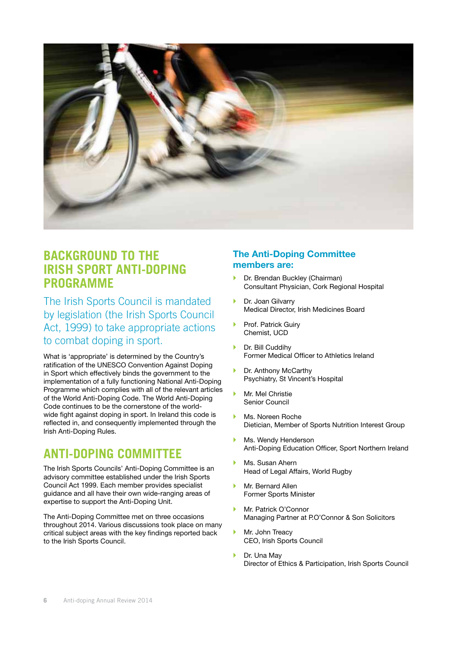

### **Background to the Irish Sport Anti-Doping Programme**

The Irish Sports Council is mandated by legislation (the Irish Sports Council Act, 1999) to take appropriate actions to combat doping in sport.

What is 'appropriate' is determined by the Country's ratification of the UNESCO Convention Against Doping in Sport which effectively binds the government to the implementation of a fully functioning National Anti-Doping Programme which complies with all of the relevant articles of the World Anti-Doping Code. The World Anti-Doping Code continues to be the cornerstone of the worldwide fight against doping in sport. In Ireland this code is reflected in, and consequently implemented through the Irish Anti-Doping Rules.

## **Anti-Doping Committee**

The Irish Sports Councils' Anti-Doping Committee is an advisory committee established under the Irish Sports Council Act 1999. Each member provides specialist guidance and all have their own wide-ranging areas of expertise to support the Anti-Doping Unit.

The Anti-Doping Committee met on three occasions throughout 2014. Various discussions took place on many critical subject areas with the key findings reported back to the Irish Sports Council.

#### **The Anti-Doping Committee members are:**

- Dr. Brendan Buckley (Chairman) Consultant Physician, Cork Regional Hospital
- Dr. Joan Gilvarry Medical Director, Irish Medicines Board
- Prof. Patrick Guirv Chemist, UCD
- ▶ Dr. Bill Cuddihy Former Medical Officer to Athletics Ireland
- Dr. Anthony McCarthy Psychiatry, St Vincent's Hospital
- Mr. Mel Christie Senior Council
- Ms. Noreen Roche Dietician, Member of Sports Nutrition Interest Group
- Ms. Wendy Henderson Anti-Doping Education Officer, Sport Northern Ireland
- **Ms. Susan Ahern** Head of Legal Affairs, World Rugby
- } Mr. Bernard Allen Former Sports Minister
- ▶ Mr. Patrick O'Connor Managing Partner at P.O'Connor & Son Solicitors
- **Mr. John Treacy** CEO, Irish Sports Council
- ▶ Dr. Una May Director of Ethics & Participation, Irish Sports Council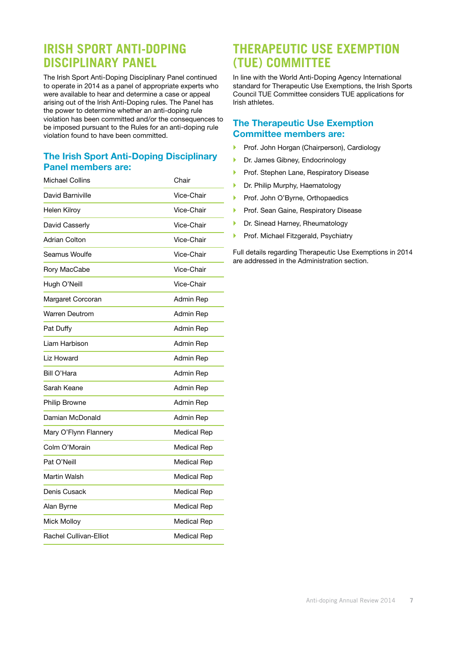## **Irish Sport Anti-Doping Disciplinary Panel**

The Irish Sport Anti-Doping Disciplinary Panel continued to operate in 2014 as a panel of appropriate experts who were available to hear and determine a case or appeal arising out of the Irish Anti-Doping rules. The Panel has the power to determine whether an anti-doping rule violation has been committed and/or the consequences to be imposed pursuant to the Rules for an anti-doping rule violation found to have been committed.

#### **The Irish Sport Anti-Doping Disciplinary Panel members are:**

| <b>Michael Collins</b> | Chair              |
|------------------------|--------------------|
| David Barniville       | Vice-Chair         |
| Helen Kilroy           | Vice-Chair         |
| David Casserly         | Vice-Chair         |
| <b>Adrian Colton</b>   | Vice-Chair         |
| Seamus Woulfe          | Vice-Chair         |
| Rory MacCabe           | Vice-Chair         |
| Hugh O'Neill           | Vice-Chair         |
| Margaret Corcoran      | Admin Rep          |
| <b>Warren Deutrom</b>  | Admin Rep          |
| Pat Duffy              | Admin Rep          |
| Liam Harbison          | Admin Rep          |
| Liz Howard             | Admin Rep          |
| Bill O'Hara            | Admin Rep          |
| Sarah Keane            | Admin Rep          |
| <b>Philip Browne</b>   | <b>Admin Rep</b>   |
| Damian McDonald        | Admin Rep          |
| Mary O'Flynn Flannery  | <b>Medical Rep</b> |
| Colm O'Morain          | <b>Medical Rep</b> |
| Pat O'Neill            | <b>Medical Rep</b> |
| <b>Martin Walsh</b>    | <b>Medical Rep</b> |
| Denis Cusack           | <b>Medical Rep</b> |
| Alan Byrne             | <b>Medical Rep</b> |
| <b>Mick Molloy</b>     | <b>Medical Rep</b> |
| Rachel Cullivan-Elliot | <b>Medical Rep</b> |

## **Therapeutic Use Exemption (TUE) Committee**

In line with the World Anti-Doping Agency International standard for Therapeutic Use Exemptions, the Irish Sports Council TUE Committee considers TUE applications for Irish athletes.

#### **The Therapeutic Use Exemption Committee members are:**

- **Prof. John Horgan (Chairperson), Cardiology**
- **Dr. James Gibney, Endocrinology**
- **Prof. Stephen Lane, Respiratory Disease**
- **Dr. Philip Murphy, Haematology**
- ▶ Prof. John O'Byrne, Orthopaedics
- **Prof. Sean Gaine, Respiratory Disease**
- ▶ Dr. Sinead Harney, Rheumatology
- ▶ Prof. Michael Fitzgerald, Psychiatry

Full details regarding Therapeutic Use Exemptions in 2014 are addressed in the Administration section.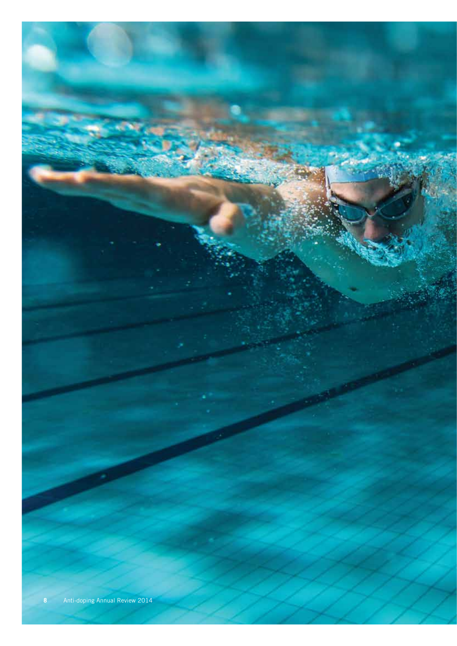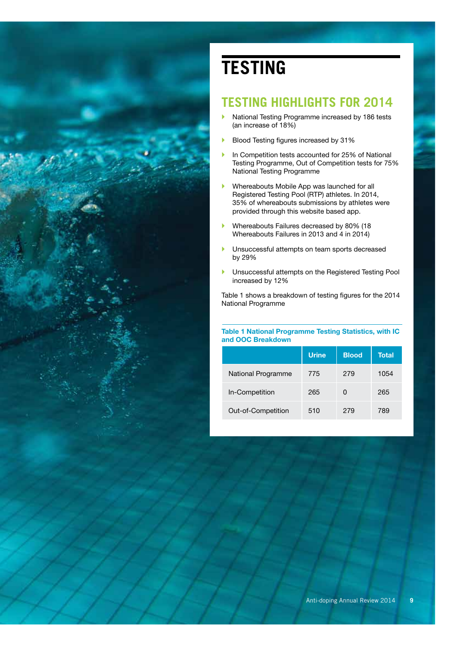

## **Testing**

### **Testing Highlights for 2014**

- ▶ National Testing Programme increased by 186 tests (an increase of 18%)
- ▶ Blood Testing figures increased by 31%
- **In Competition tests accounted for 25% of National** Testing Programme, Out of Competition tests for 75% National Testing Programme
- ▶ Whereabouts Mobile App was launched for all Registered Testing Pool (RTP) athletes. In 2014, 35% of whereabouts submissions by athletes were provided through this website based app.
- **Whereabouts Failures decreased by 80% (18** Whereabouts Failures in 2013 and 4 in 2014)
- Unsuccessful attempts on team sports decreased by 29%
- **I** Unsuccessful attempts on the Registered Testing Pool increased by 12%

Table 1 shows a breakdown of testing figures for the 2014 National Programme

**Table 1 National Programme Testing Statistics, with IC and OOC Breakdown**

|                           | <b>Urine</b> | <b>Blood</b> | <b>Total</b> |
|---------------------------|--------------|--------------|--------------|
| <b>National Programme</b> | 775          | 279          | 1054         |
| In-Competition            | 265          | 0            | 265          |
| Out-of-Competition        | 510          | 279          | 789          |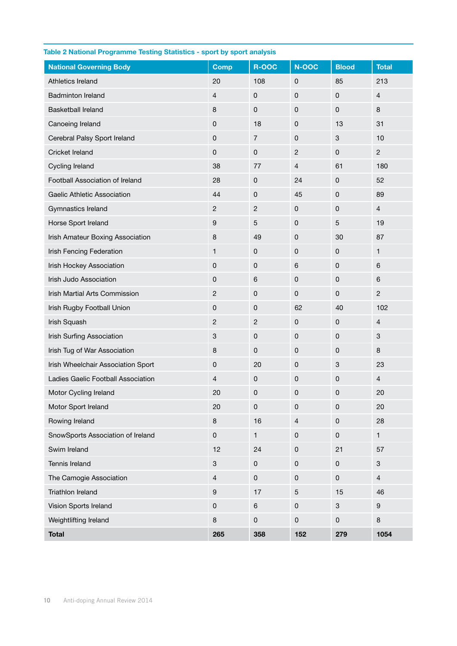| <b>National Governing Body</b>     | <b>Comp</b>               | <b>R-OOC</b>        | N-OOC               | <b>Blood</b> | <b>Total</b>              |
|------------------------------------|---------------------------|---------------------|---------------------|--------------|---------------------------|
| Athletics Ireland                  | 20                        | 108                 | 0                   | 85           | 213                       |
| <b>Badminton Ireland</b>           | $\overline{4}$            | 0                   | 0                   | $\pmb{0}$    | $\overline{4}$            |
| <b>Basketball Ireland</b>          | 8                         | 0                   | 0                   | $\mathsf 0$  | 8                         |
| Canoeing Ireland                   | $\mathsf 0$               | 18                  | 0                   | 13           | 31                        |
| Cerebral Palsy Sport Ireland       | 0                         | $\overline{7}$      | 0                   | 3            | 10                        |
| <b>Cricket Ireland</b>             | $\mathsf{O}\xspace$       | $\pmb{0}$           | $\overline{c}$      | 0            | $\mathbf{2}$              |
| Cycling Ireland                    | 38                        | 77                  | $\overline{4}$      | 61           | 180                       |
| Football Association of Ireland    | 28                        | 0                   | 24                  | $\mathsf 0$  | 52                        |
| Gaelic Athletic Association        | 44                        | 0                   | 45                  | $\mathsf 0$  | 89                        |
| Gymnastics Ireland                 | $\mathbf{2}$              | 2                   | 0                   | $\mathbf 0$  | $\overline{4}$            |
| Horse Sport Ireland                | 9                         | 5                   | $\pmb{0}$           | 5            | 19                        |
| Irish Amateur Boxing Association   | 8                         | 49                  | $\pmb{0}$           | 30           | 87                        |
| Irish Fencing Federation           | 1                         | 0                   | $\pmb{0}$           | $\pmb{0}$    | 1                         |
| Irish Hockey Association           | $\pmb{0}$                 | 0                   | 6                   | 0            | 6                         |
| Irish Judo Association             | $\pmb{0}$                 | 6                   | 0                   | $\pmb{0}$    | 6                         |
| Irish Martial Arts Commission      | $\sqrt{2}$                | 0                   | 0                   | $\pmb{0}$    | $\overline{c}$            |
| Irish Rugby Football Union         | $\pmb{0}$                 | 0                   | 62                  | 40           | 102                       |
| Irish Squash                       | $\sqrt{2}$                | $\mathbf{2}$        | $\mathsf{O}\xspace$ | $\pmb{0}$    | $\overline{4}$            |
| Irish Surfing Association          | $\mathbf{3}$              | 0                   | 0                   | 0            | $\ensuremath{\mathsf{3}}$ |
| Irish Tug of War Association       | 8                         | 0                   | 0                   | 0            | 8                         |
| Irish Wheelchair Association Sport | 0                         | 20                  | 0                   | 3            | 23                        |
| Ladies Gaelic Football Association | 4                         | 0                   | 0                   | 0            | $\overline{4}$            |
| Motor Cycling Ireland              | 20                        | $\pmb{0}$           | 0                   | 0            | 20                        |
| Motor Sport Ireland                | 20                        | $\mathsf{O}\xspace$ | $\mathsf{O}\xspace$ | $\pmb{0}$    | 20                        |
| Rowing Ireland                     | 8                         | 16                  | $\overline{4}$      | 0            | 28                        |
| SnowSports Association of Ireland  | $\mathsf 0$               | $\mathbf{1}$        | $\pmb{0}$           | $\mathsf 0$  | $\mathbf{1}$              |
| Swim Ireland                       | 12                        | 24                  | $\pmb{0}$           | 21           | 57                        |
| Tennis Ireland                     | $\ensuremath{\mathsf{3}}$ | $\mathsf{O}\xspace$ | $\pmb{0}$           | $\mathsf 0$  | $\ensuremath{\mathsf{3}}$ |
| The Camogie Association            | 4                         | $\pmb{0}$           | $\mathsf{O}\xspace$ | $\pmb{0}$    | $\overline{4}$            |
| Triathlon Ireland                  | $\boldsymbol{9}$          | 17                  | $\sqrt{5}$          | 15           | 46                        |
| Vision Sports Ireland              | 0                         | 6                   | $\mathsf{O}\xspace$ | 3            | $\boldsymbol{9}$          |
| Weightlifting Ireland              | 8                         | $\mathsf{O}\xspace$ | $\mathsf{O}\xspace$ | $\mathsf 0$  | $\bf8$                    |
| <b>Total</b>                       | 265                       | 358                 | 152                 | 279          | 1054                      |

#### **Table 2 National Programme Testing Statistics - sport by sport analysis**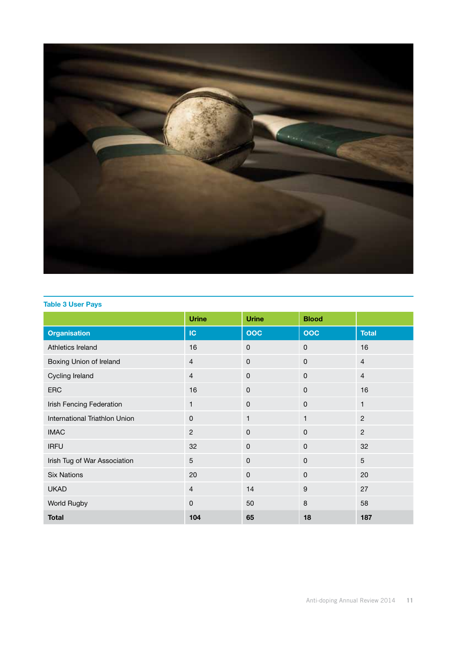

#### **Table 3 User Pays**

|                               | <b>Urine</b>   | <b>Urine</b> | <b>Blood</b> |                |
|-------------------------------|----------------|--------------|--------------|----------------|
| <b>Organisation</b>           | IC             | OOC          | OOC          | <b>Total</b>   |
| Athletics Ireland             | 16             | $\mathbf 0$  | $\mathbf 0$  | 16             |
| Boxing Union of Ireland       | $\overline{4}$ | $\mathbf{0}$ | $\mathbf 0$  | $\overline{4}$ |
| Cycling Ireland               | $\overline{4}$ | $\Omega$     | $\mathbf 0$  | $\overline{4}$ |
| <b>ERC</b>                    | 16             | $\mathbf{0}$ | $\mathbf 0$  | 16             |
| Irish Fencing Federation      | 1              | $\mathbf{0}$ | $\mathbf 0$  | $\mathbf{1}$   |
| International Triathlon Union | $\Omega$       | $\mathbf{1}$ | 1            | $\overline{2}$ |
| <b>IMAC</b>                   | $\overline{2}$ | $\mathbf 0$  | $\Omega$     | $\overline{2}$ |
| <b>IRFU</b>                   | 32             | $\mathbf{0}$ | $\mathbf 0$  | 32             |
| Irish Tug of War Association  | 5              | $\mathbf{0}$ | $\mathbf 0$  | 5              |
| <b>Six Nations</b>            | 20             | $\mathbf{0}$ | $\mathbf 0$  | 20             |
| <b>UKAD</b>                   | $\overline{4}$ | 14           | 9            | 27             |
| World Rugby                   | $\mathbf 0$    | 50           | 8            | 58             |
| <b>Total</b>                  | 104            | 65           | 18           | 187            |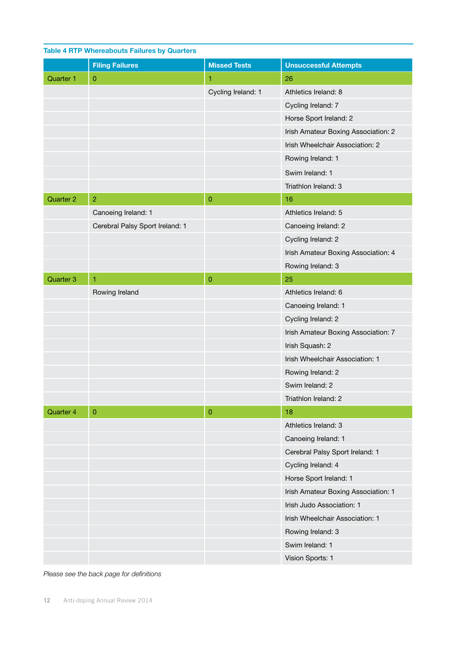|           | <b>Filing Failures</b>          | <b>Missed Tests</b> | <b>Unsuccessful Attempts</b>        |
|-----------|---------------------------------|---------------------|-------------------------------------|
| Quarter 1 | 0                               | 1                   | 26                                  |
|           |                                 | Cycling Ireland: 1  | Athletics Ireland: 8                |
|           |                                 |                     | Cycling Ireland: 7                  |
|           |                                 |                     | Horse Sport Ireland: 2              |
|           |                                 |                     | Irish Amateur Boxing Association: 2 |
|           |                                 |                     | Irish Wheelchair Association: 2     |
|           |                                 |                     | Rowing Ireland: 1                   |
|           |                                 |                     | Swim Ireland: 1                     |
|           |                                 |                     | Triathlon Ireland: 3                |
| Quarter 2 | $\overline{c}$                  | $\mathbf 0$         | 16                                  |
|           | Canoeing Ireland: 1             |                     | Athletics Ireland: 5                |
|           | Cerebral Palsy Sport Ireland: 1 |                     | Canoeing Ireland: 2                 |
|           |                                 |                     | Cycling Ireland: 2                  |
|           |                                 |                     | Irish Amateur Boxing Association: 4 |
|           |                                 |                     | Rowing Ireland: 3                   |
| Quarter 3 | $\mathbf{1}$                    | $\pmb{0}$           | 25                                  |
|           | Rowing Ireland                  |                     | Athletics Ireland: 6                |
|           |                                 |                     | Canoeing Ireland: 1                 |
|           |                                 |                     | Cycling Ireland: 2                  |
|           |                                 |                     | Irish Amateur Boxing Association: 7 |
|           |                                 |                     | Irish Squash: 2                     |
|           |                                 |                     | Irish Wheelchair Association: 1     |
|           |                                 |                     | Rowing Ireland: 2                   |
|           |                                 |                     | Swim Ireland: 2                     |
|           |                                 |                     | Triathlon Ireland: 2                |
| Quarter 4 | $\pmb{0}$                       | $\pmb{0}$           | 18                                  |
|           |                                 |                     | Athletics Ireland: 3                |
|           |                                 |                     | Canoeing Ireland: 1                 |
|           |                                 |                     | Cerebral Palsy Sport Ireland: 1     |
|           |                                 |                     | Cycling Ireland: 4                  |
|           |                                 |                     | Horse Sport Ireland: 1              |
|           |                                 |                     | Irish Amateur Boxing Association: 1 |
|           |                                 |                     | Irish Judo Association: 1           |
|           |                                 |                     | Irish Wheelchair Association: 1     |
|           |                                 |                     | Rowing Ireland: 3                   |
|           |                                 |                     | Swim Ireland: 1                     |
|           |                                 |                     | Vision Sports: 1                    |

*Please see the back page for definitions*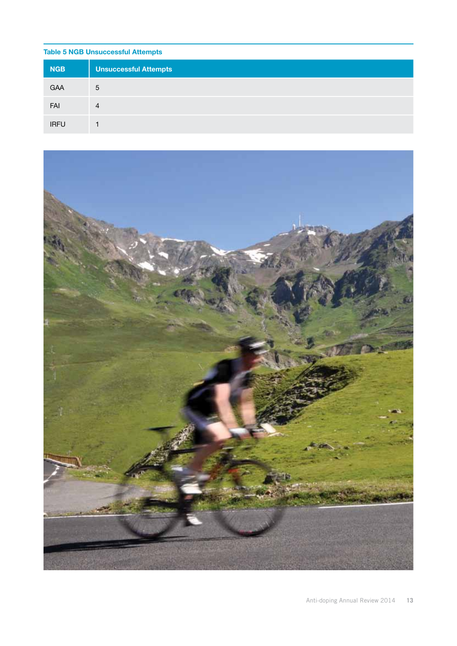| <b>Table 5 NGB Unsuccessful Attempts</b> |                              |  |  |
|------------------------------------------|------------------------------|--|--|
| <b>NGB</b>                               | <b>Unsuccessful Attempts</b> |  |  |
| GAA                                      | 5                            |  |  |
| <b>FAI</b>                               | $\overline{4}$               |  |  |
| <b>IRFU</b>                              |                              |  |  |

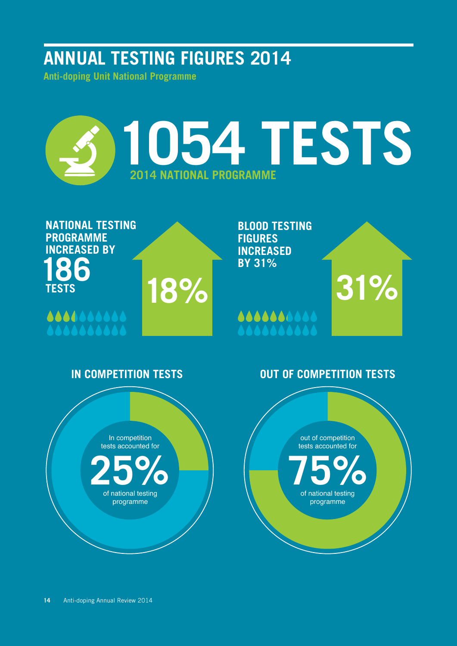## **ANNUAL TESTING FIGURES 2014**

**Anti-doping Unit National Programme**



**NATIONAL TESTING PROGRAMME INCREASED BY 186 186 186 TESTS 18% 31%**

# **AAAAAAAA**

**BLOOD TESTING FIGURES INCREASED** 

In competition tests accounted for

**25%** of national testing programme

#### **IN COMPETITION TESTS COMPANY OUT OF COMPETITION TESTS**

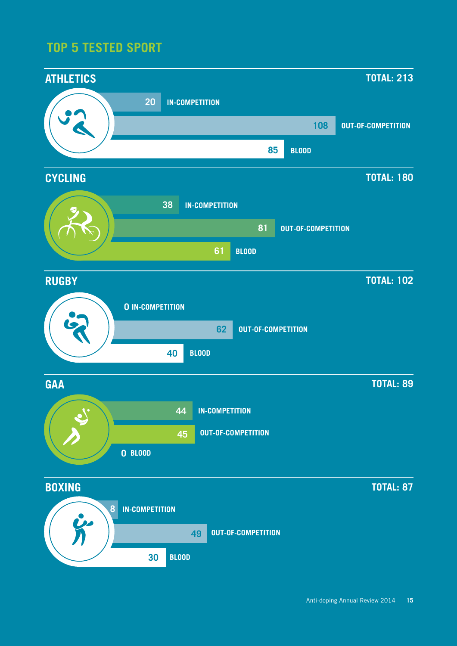## **TOP 5 TESTED SPORT**

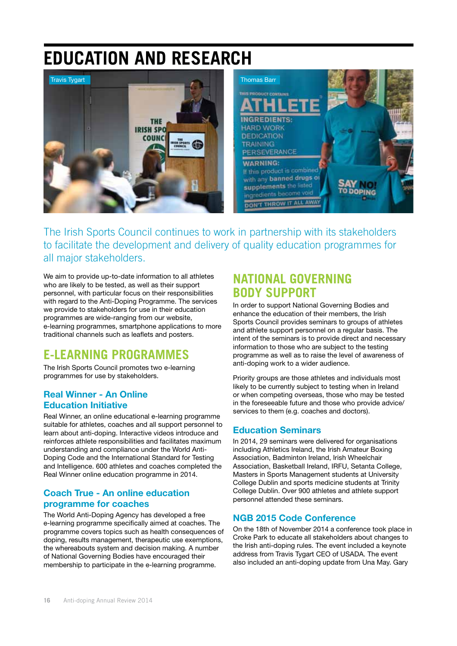## **Education and Research**



The Irish Sports Council continues to work in partnership with its stakeholders to facilitate the development and delivery of quality education programmes for all major stakeholders.

We aim to provide up-to-date information to all athletes who are likely to be tested, as well as their support personnel, with particular focus on their responsibilities with regard to the Anti-Doping Programme. The services we provide to stakeholders for use in their education programmes are wide-ranging from our website, e-learning programmes, smartphone applications to more traditional channels such as leaflets and posters.

## **E-Learning Programmes**

The Irish Sports Council promotes two e-learning programmes for use by stakeholders.

#### **Real Winner - An Online Education Initiative**

Real Winner, an online educational e-learning programme suitable for athletes, coaches and all support personnel to learn about anti-doping. Interactive videos introduce and reinforces athlete responsibilities and facilitates maximum understanding and compliance under the World Anti-Doping Code and the International Standard for Testing and Intelligence. 600 athletes and coaches completed the Real Winner online education programme in 2014.

#### **Coach True - An online education programme for coaches**

The World Anti-Doping Agency has developed a free e-learning programme specifically aimed at coaches. The programme covers topics such as health consequences of doping, results management, therapeutic use exemptions, the whereabouts system and decision making. A number of National Governing Bodies have encouraged their membership to participate in the e-learning programme.

### **National Governing Body Support**

In order to support National Governing Bodies and enhance the education of their members, the Irish Sports Council provides seminars to groups of athletes and athlete support personnel on a regular basis. The intent of the seminars is to provide direct and necessary information to those who are subject to the testing programme as well as to raise the level of awareness of anti-doping work to a wider audience.

Priority groups are those athletes and individuals most likely to be currently subject to testing when in Ireland or when competing overseas, those who may be tested in the foreseeable future and those who provide advice/ services to them (e.g. coaches and doctors).

#### **Education Seminars**

In 2014, 29 seminars were delivered for organisations including Athletics Ireland, the Irish Amateur Boxing Association, Badminton Ireland, Irish Wheelchair Association, Basketball Ireland, IRFU, Setanta College, Masters in Sports Management students at University College Dublin and sports medicine students at Trinity College Dublin. Over 900 athletes and athlete support personnel attended these seminars.

#### **NGB 2015 Code Conference**

On the 18th of November 2014 a conference took place in Croke Park to educate all stakeholders about changes to the Irish anti-doping rules. The event included a keynote address from Travis Tygart CEO of USADA. The event also included an anti-doping update from Una May. Gary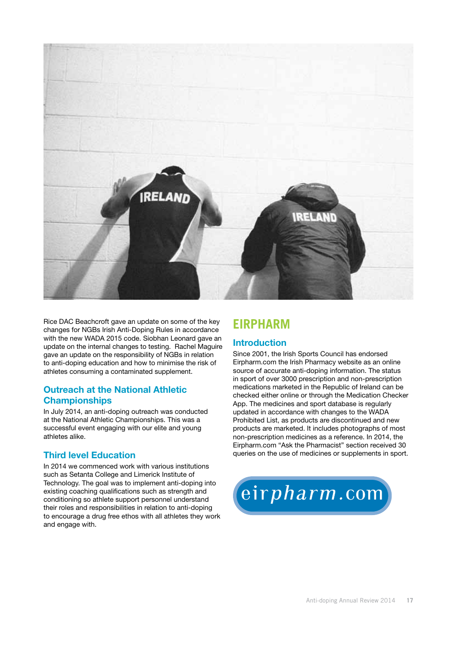

Rice DAC Beachcroft gave an update on some of the key changes for NGBs Irish Anti-Doping Rules in accordance with the new WADA 2015 code. Siobhan Leonard gave an update on the internal changes to testing. Rachel Maguire gave an update on the responsibility of NGBs in relation to anti-doping education and how to minimise the risk of athletes consuming a contaminated supplement.

#### **Outreach at the National Athletic Championships**

In July 2014, an anti-doping outreach was conducted at the National Athletic Championships. This was a successful event engaging with our elite and young athletes alike.

#### **Third level Education**

In 2014 we commenced work with various institutions such as Setanta College and Limerick Institute of Technology. The goal was to implement anti-doping into existing coaching qualifications such as strength and conditioning so athlete support personnel understand their roles and responsibilities in relation to anti-doping to encourage a drug free ethos with all athletes they work and engage with.

### **Eirpharm**

#### **Introduction**

Since 2001, the Irish Sports Council has endorsed Eirpharm.com the Irish Pharmacy website as an online source of accurate anti-doping information. The status in sport of over 3000 prescription and non-prescription medications marketed in the Republic of Ireland can be checked either online or through the Medication Checker App. The medicines and sport database is regularly updated in accordance with changes to the WADA Prohibited List, as products are discontinued and new products are marketed. It includes photographs of most non-prescription medicines as a reference. In 2014, the Eirpharm.com "Ask the Pharmacist" section received 30 queries on the use of medicines or supplements in sport.

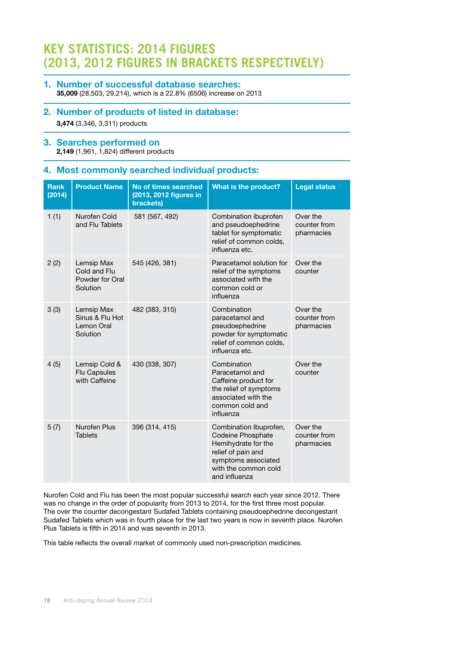## **Key Statistics: 2014 figures (2013, 2012 figures in brackets respectively)**

- **1. Number of successful database searches: 35,009** (28,503, 29,214), which is a 22.8% (6506) increase on 2013
- **2. Number of products of listed in database: 3,474** (3,346, 3,311) products

#### **3. Searches performed on 2,149** (1,961, 1,824) different products

#### **4. Most commonly searched individual products:**

| Rank<br>(2014) | <b>Product Name</b>                                       | <b>No of times searched</b><br>(2013, 2012 figures in<br>brackets) | What is the product?                                                                                                                                     | <b>Legal status</b>                    |
|----------------|-----------------------------------------------------------|--------------------------------------------------------------------|----------------------------------------------------------------------------------------------------------------------------------------------------------|----------------------------------------|
| 1(1)           | Nurofen Cold<br>and Flu Tablets                           | 581 (567, 492)                                                     | Combination ibuprofen<br>and pseudoephedrine<br>tablet for symptomatic<br>relief of common colds,<br>influenza etc.                                      | Over the<br>counter from<br>pharmacies |
| 2(2)           | Lemsip Max<br>Cold and Flu<br>Powder for Oral<br>Solution | 545 (426, 381)                                                     | Paracetamol solution for<br>relief of the symptoms<br>associated with the<br>common cold or<br>influenza                                                 | Over the<br>counter                    |
| 3(3)           | Lemsip Max<br>Sinus & Flu Hot<br>Lemon Oral<br>Solution   | 482 (383, 315)                                                     | Combination<br>paracetamol and<br>pseudoephedrine<br>powder for symptomatic<br>relief of common colds,<br>influenza etc.                                 | Over the<br>counter from<br>pharmacies |
| 4(5)           | Lemsip Cold &<br>Flu Capsules<br>with Caffeine            | 430 (338, 307)                                                     | Combination<br>Paracetamol and<br>Caffeine product for<br>the relief of symptoms<br>associated with the<br>common cold and<br>influenza                  | Over the<br>counter                    |
| 5(7)           | Nurofen Plus<br><b>Tablets</b>                            | 396 (314, 415)                                                     | Combination Ibuprofen,<br>Codeine Phosphate<br>Hemihydrate for the<br>relief of pain and<br>symptoms associated<br>with the common cold<br>and influenza | Over the<br>counter from<br>pharmacies |

Nurofen Cold and Flu has been the most popular successful search each year since 2012. There was no change in the order of popularity from 2013 to 2014, for the first three most popular. The over the counter decongestant Sudafed Tablets containing pseudoephedrine decongestant Sudafed Tablets which was in fourth place for the last two years is now in seventh place. Nurofen Plus Tablets is fifth in 2014 and was seventh in 2013.

This table reflects the overall market of commonly used non-prescription medicines.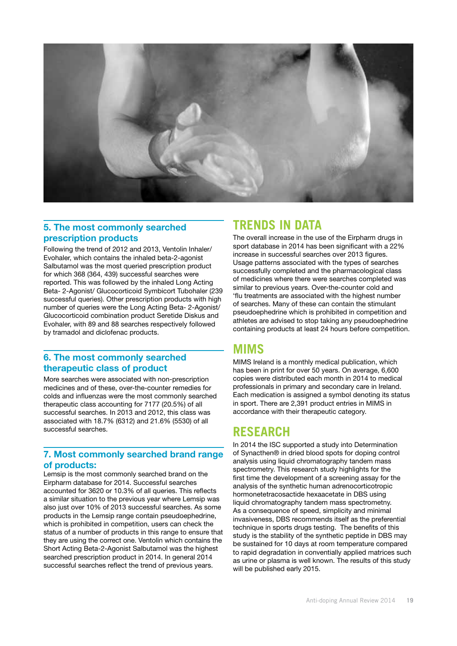

#### **5. The most commonly searched prescription products**

Following the trend of 2012 and 2013, Ventolin Inhaler/ Evohaler, which contains the inhaled beta-2-agonist Salbutamol was the most queried prescription product for which 368 (364, 439) successful searches were reported. This was followed by the inhaled Long Acting Beta- 2-Agonist/ Glucocorticoid Symbicort Tubohaler (239 successful queries). Other prescription products with high number of queries were the Long Acting Beta- 2-Agonist/ Glucocorticoid combination product Seretide Diskus and Evohaler, with 89 and 88 searches respectively followed by tramadol and diclofenac products.

#### **6. The most commonly searched therapeutic class of product**

More searches were associated with non-prescription medicines and of these, over-the-counter remedies for colds and influenzas were the most commonly searched therapeutic class accounting for 7177 (20.5%) of all successful searches. In 2013 and 2012, this class was associated with 18.7% (6312) and 21.6% (5530) of all successful searches.

#### **7. Most commonly searched brand range of products:**

Lemsip is the most commonly searched brand on the Eirpharm database for 2014. Successful searches accounted for 3620 or 10.3% of all queries. This reflects a similar situation to the previous year where Lemsip was also just over 10% of 2013 successful searches. As some products in the Lemsip range contain pseudoephedrine, which is prohibited in competition, users can check the status of a number of products in this range to ensure that they are using the correct one. Ventolin which contains the Short Acting Beta-2-Agonist Salbutamol was the highest searched prescription product in 2014. In general 2014 successful searches reflect the trend of previous years.

## **Trends in Data**

The overall increase in the use of the Eirpharm drugs in sport database in 2014 has been significant with a 22% increase in successful searches over 2013 figures. Usage patterns associated with the types of searches successfully completed and the pharmacological class of medicines where there were searches completed was similar to previous years. Over-the-counter cold and 'flu treatments are associated with the highest number of searches. Many of these can contain the stimulant pseudoephedrine which is prohibited in competition and athletes are advised to stop taking any pseudoephedrine containing products at least 24 hours before competition.

### **MIMS**

MIMS Ireland is a monthly medical publication, which has been in print for over 50 years. On average, 6,600 copies were distributed each month in 2014 to medical professionals in primary and secondary care in Ireland. Each medication is assigned a symbol denoting its status in sport. There are 2,391 product entries in MIMS in accordance with their therapeutic category.

#### **research**

In 2014 the ISC supported a study into Determination of Synacthen® in dried blood spots for doping control analysis using liquid chromatography tandem mass spectrometry. This research study highlights for the first time the development of a screening assay for the analysis of the synthetic human adrenocorticotropic hormonetetracosactide hexaacetate in DBS using liquid chromatography tandem mass spectrometny. As a consequence of speed, simplicity and minimal invasiveness, DBS recommends itself as the preferential technique in sports drugs testing. The benefits of this study is the stability of the synthetic peptide in DBS may be sustained for 10 days at room temperature compared to rapid degradation in conventially applied matrices such as urine or plasma is well known. The results of this study will be published early 2015.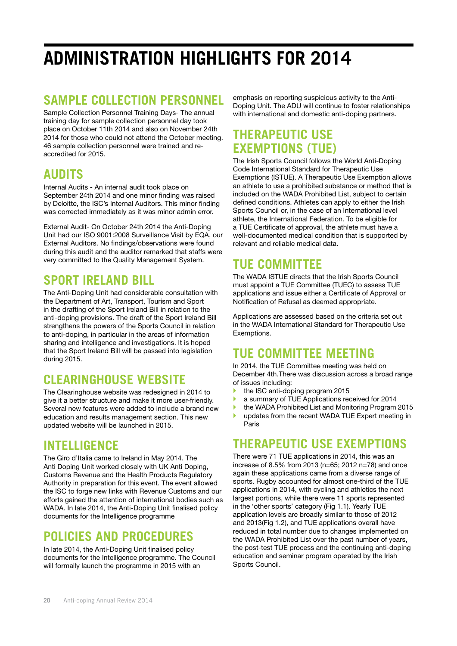## **Administration Highlights for 2014**

### **Sample Collection Personnel**

Sample Collection Personnel Training Days- The annual training day for sample collection personnel day took place on October 11th 2014 and also on November 24th 2014 for those who could not attend the October meeting. 46 sample collection personnel were trained and reaccredited for 2015.

## **Audits**

Internal Audits - An internal audit took place on September 24th 2014 and one minor finding was raised by Deloitte, the ISC's Internal Auditors. This minor finding was corrected immediately as it was minor admin error.

External Audit- On October 24th 2014 the Anti-Doping Unit had our ISO 9001:2008 Surveillance Visit by EQA, our External Auditors. No findings/observations were found during this audit and the auditor remarked that staffs were very committed to the Quality Management System.

### **Sport Ireland Bill**

The Anti-Doping Unit had considerable consultation with the Department of Art, Transport, Tourism and Sport in the drafting of the Sport Ireland Bill in relation to the anti-doping provisions. The draft of the Sport Ireland Bill strengthens the powers of the Sports Council in relation to anti-doping, in particular in the areas of information sharing and intelligence and investigations. It is hoped that the Sport Ireland Bill will be passed into legislation during 2015.

## **Clearinghouse Website**

The Clearinghouse website was redesigned in 2014 to give it a better structure and make it more user-friendly. Several new features were added to include a brand new education and results management section. This new updated website will be launched in 2015.

### **Intelligence**

The Giro d'Italia came to Ireland in May 2014. The Anti Doping Unit worked closely with UK Anti Doping, Customs Revenue and the Health Products Regulatory Authority in preparation for this event. The event allowed the ISC to forge new links with Revenue Customs and our efforts gained the attention of international bodies such as WADA. In late 2014, the Anti-Doping Unit finalised policy documents for the Intelligence programme

#### **Policies and Procedures**

In late 2014, the Anti-Doping Unit finalised policy documents for the Intelligence programme. The Council will formally launch the programme in 2015 with an

emphasis on reporting suspicious activity to the Anti-Doping Unit. The ADU will continue to foster relationships with international and domestic anti-doping partners.

## **Therapeutic Use Exemptions (TUE)**

The Irish Sports Council follows the World Anti-Doping Code International Standard for Therapeutic Use Exemptions (ISTUE). A Therapeutic Use Exemption allows an athlete to use a prohibited substance or method that is included on the WADA Prohibited List, subject to certain defined conditions. Athletes can apply to either the Irish Sports Council or, in the case of an International level athlete, the International Federation. To be eligible for a TUE Certificate of approval, the athlete must have a well-documented medical condition that is supported by relevant and reliable medical data.

## **TUE Committee**

The WADA ISTUE directs that the Irish Sports Council must appoint a TUE Committee (TUEC) to assess TUE applications and issue either a Certificate of Approval or Notification of Refusal as deemed appropriate.

Applications are assessed based on the criteria set out in the WADA International Standard for Therapeutic Use Exemptions.

## **TUE Committee Meeting**

In 2014, the TUE Committee meeting was held on December 4th.There was discussion across a broad range of issues including:

- $\blacktriangleright$  the ISC anti-doping program 2015
- **a** summary of TUE Applications received for 2014
- the WADA Prohibited List and Monitoring Program 2015
- updates from the recent WADA TUE Expert meeting in Paris

## **Therapeutic Use Exemptions**

There were 71 TUE applications in 2014, this was an increase of 8.5% from 2013 (n=65; 2012 n=78) and once again these applications came from a diverse range of sports. Rugby accounted for almost one-third of the TUE applications in 2014, with cycling and athletics the next largest portions, while there were 11 sports represented in the 'other sports' category (Fig 1.1). Yearly TUE application levels are broadly similar to those of 2012 and 2013(Fig 1.2), and TUE applications overall have reduced in total number due to changes implemented on the WADA Prohibited List over the past number of years, the post-test TUE process and the continuing anti-doping education and seminar program operated by the Irish Sports Council.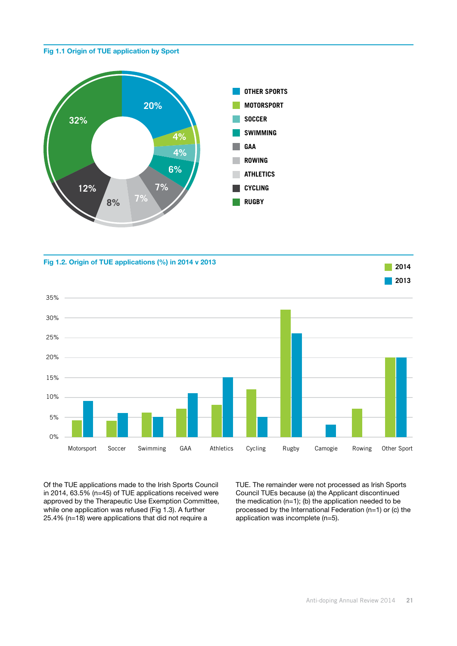





Of the TUE applications made to the Irish Sports Council in 2014, 63.5% (n=45) of TUE applications received were approved by the Therapeutic Use Exemption Committee, while one application was refused (Fig 1.3). A further 25.4% (n=18) were applications that did not require a

TUE. The remainder were not processed as Irish Sports Council TUEs because (a) the Applicant discontinued the medication  $(n=1)$ ; (b) the application needed to be processed by the International Federation (n=1) or (c) the application was incomplete (n=5).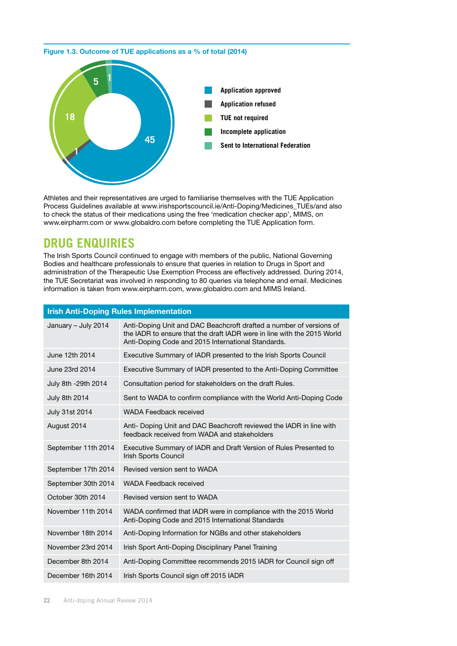#### **Figure 1.3. Outcome of TUE applications as a % of total (2014)**



Athletes and their representatives are urged to familiarise themselves with the TUE Application Process Guidelines available at www.irishsportscouncil.ie/Anti-Doping/Medicines\_TUEs/and also to check the status of their medications using the free 'medication checker app', MIMS, on www.eirpharm.com or www.globaldro.com before completing the TUE Application form.

#### **Drug Enquiries**

The Irish Sports Council continued to engage with members of the public, National Governing Bodies and healthcare professionals to ensure that queries in relation to Drugs in Sport and administration of the Therapeutic Use Exemption Process are effectively addressed. During 2014, the TUE Secretariat was involved in responding to 80 queries via telephone and email. Medicines information is taken from www.eirpharm.com, www.globaldro.com and MIMS Ireland.

| <b>Irish Anti-Doping Rules Implementation</b> |                                                                                                                                                                                                      |  |  |  |
|-----------------------------------------------|------------------------------------------------------------------------------------------------------------------------------------------------------------------------------------------------------|--|--|--|
| January - July 2014                           | Anti-Doping Unit and DAC Beachcroft drafted a number of versions of<br>the IADR to ensure that the draft IADR were in line with the 2015 World<br>Anti-Doping Code and 2015 International Standards. |  |  |  |
| June 12th 2014                                | Executive Summary of IADR presented to the Irish Sports Council                                                                                                                                      |  |  |  |
| June 23rd 2014                                | Executive Summary of IADR presented to the Anti-Doping Committee                                                                                                                                     |  |  |  |
| July 8th -29th 2014                           | Consultation period for stakeholders on the draft Rules.                                                                                                                                             |  |  |  |
| <b>July 8th 2014</b>                          | Sent to WADA to confirm compliance with the World Anti-Doping Code                                                                                                                                   |  |  |  |
| July 31st 2014                                | <b>WADA Feedback received</b>                                                                                                                                                                        |  |  |  |
| August 2014                                   | Anti- Doping Unit and DAC Beachcroft reviewed the IADR in line with<br>feedback received from WADA and stakeholders                                                                                  |  |  |  |
| September 11th 2014                           | Executive Summary of IADR and Draft Version of Rules Presented to<br>Irish Sports Council                                                                                                            |  |  |  |
| September 17th 2014                           | Revised version sent to WADA                                                                                                                                                                         |  |  |  |
| September 30th 2014                           | <b>WADA Feedback received</b>                                                                                                                                                                        |  |  |  |
| October 30th 2014                             | Revised version sent to WADA                                                                                                                                                                         |  |  |  |
| November 11th 2014                            | WADA confirmed that IADR were in compliance with the 2015 World<br>Anti-Doping Code and 2015 International Standards                                                                                 |  |  |  |
| November 18th 2014                            | Anti-Doping Information for NGBs and other stakeholders                                                                                                                                              |  |  |  |
| November 23rd 2014                            | Irish Sport Anti-Doping Disciplinary Panel Training                                                                                                                                                  |  |  |  |
| December 8th 2014                             | Anti-Doping Committee recommends 2015 IADR for Council sign off                                                                                                                                      |  |  |  |
| December 16th 2014                            | Irish Sports Council sign off 2015 IADR                                                                                                                                                              |  |  |  |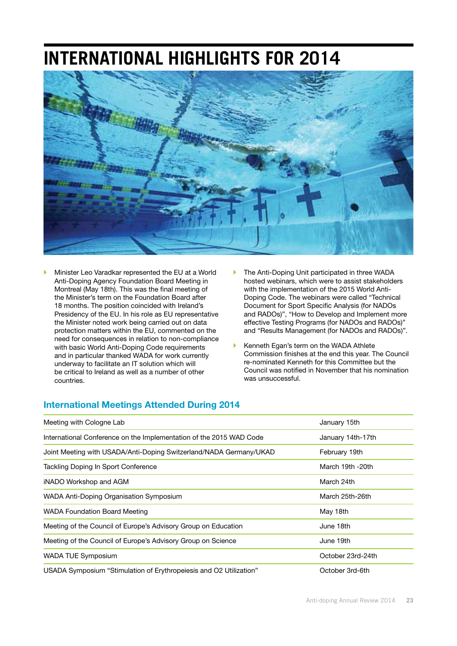## **International Highlights for 2014**



- Minister Leo Varadkar represented the EU at a World Anti-Doping Agency Foundation Board Meeting in Montreal (May 18th). This was the final meeting of the Minister's term on the Foundation Board after 18 months. The position coincided with Ireland's Presidency of the EU. In his role as EU representative the Minister noted work being carried out on data protection matters within the EU, commented on the need for consequences in relation to non-compliance with basic World Anti-Doping Code requirements and in particular thanked WADA for work currently underway to facilitate an IT solution which will be critical to Ireland as well as a number of other countries.
- ▶ The Anti-Doping Unit participated in three WADA hosted webinars, which were to assist stakeholders with the implementation of the 2015 World Anti-Doping Code. The webinars were called "Technical Document for Sport Specific Analysis (for NADOs and RADOs)", "How to Develop and Implement more effective Testing Programs (for NADOs and RADOs)" and "Results Management (for NADOs and RADOs)".
- Kenneth Egan's term on the WADA Athlete Commission finishes at the end this year. The Council re-nominated Kenneth for this Committee but the Council was notified in November that his nomination was unsuccessful.

#### **International Meetings Attended During 2014**

| Meeting with Cologne Lab                                                             | January 15th                   |
|--------------------------------------------------------------------------------------|--------------------------------|
| International Conference on the Implementation of the 2015 WAD Code                  | January 14th-17th              |
| Joint Meeting with USADA/Anti-Doping Switzerland/NADA Germany/UKAD                   | February 19th                  |
| Tackling Doping In Sport Conference                                                  | March 19th -20th               |
| iNADO Workshop and AGM                                                               | March 24th                     |
| WADA Anti-Doping Organisation Symposium                                              | March 25th-26th                |
| <b>WADA Foundation Board Meeting</b>                                                 | May 18th                       |
| Meeting of the Council of Europe's Advisory Group on Education                       | June 18th                      |
| Meeting of the Council of Europe's Advisory Group on Science                         | June 19th                      |
| WADA TUE Symposium                                                                   | October 23rd-24th              |
| $1101D1$ $\Omega$ expressive "Ctimulation of Enthropoisoin and $\Omega$ Utilization" | $O_{ababab}$ $O_{ab}$ $O_{ab}$ |

USADA Symposium "Stimulation of Erythropeiesis and O2 Utilization" Controller 3rd-6th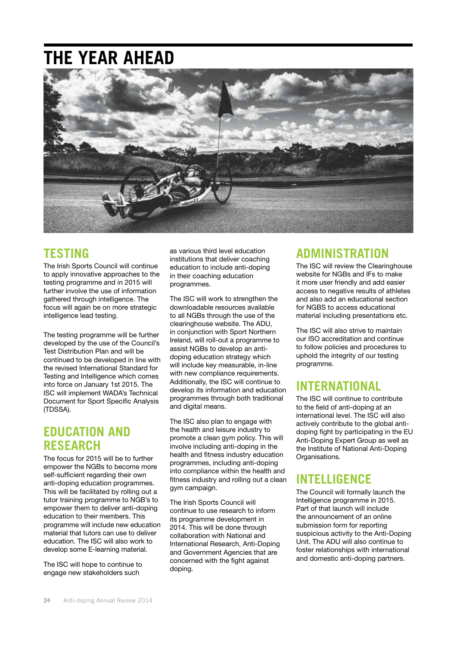## **The Year Ahead**



### **Testing**

The Irish Sports Council will continue to apply innovative approaches to the testing programme and in 2015 will further involve the use of information gathered through intelligence. The focus will again be on more strategic intelligence lead testing.

The testing programme will be further developed by the use of the Council's Test Distribution Plan and will be continued to be developed in line with the revised International Standard for Testing and Intelligence which comes into force on January 1st 2015. The ISC will implement WADA's Technical Document for Sport Specific Analysis (TDSSA).

### **Education and Research**

The focus for 2015 will be to further empower the NGBs to become more self-sufficient regarding their own anti-doping education programmes. This will be facilitated by rolling out a tutor training programme to NGB's to empower them to deliver anti-doping education to their members. This programme will include new education material that tutors can use to deliver education. The ISC will also work to develop some E-learning material.

The ISC will hope to continue to engage new stakeholders such

as various third level education institutions that deliver coaching education to include anti-doping in their coaching education programmes.

The ISC will work to strengthen the downloadable resources available to all NGBs through the use of the clearinghouse website. The ADU, in conjunction with Sport Northern Ireland, will roll-out a programme to assist NGBs to develop an antidoping education strategy which will include key measurable, in-line with new compliance requirements. Additionally, the ISC will continue to develop its information and education programmes through both traditional and digital means.

The ISC also plan to engage with the health and leisure industry to promote a clean gym policy. This will involve including anti-doping in the health and fitness industry education programmes, including anti-doping into compliance within the health and fitness industry and rolling out a clean gym campaign.

The Irish Sports Council will continue to use research to inform its programme development in 2014. This will be done through collaboration with National and International Research, Anti-Doping and Government Agencies that are concerned with the fight against doping.

### **Administration**

The ISC will review the Clearinghouse website for NGBs and IFs to make it more user friendly and add easier access to negative results of athletes and also add an educational section for NGBS to access educational material including presentations etc.

The ISC will also strive to maintain our ISO accreditation and continue to follow policies and procedures to uphold the integrity of our testing programme.

## **International**

The ISC will continue to contribute to the field of anti-doping at an international level. The ISC will also actively contribute to the global antidoping fight by participating in the EU Anti-Doping Expert Group as well as the Institute of National Anti-Doping Organisations.

## **Intelligence**

The Council will formally launch the Intelligence programme in 2015. Part of that launch will include the announcement of an online submission form for reporting suspicious activity to the Anti-Doping Unit. The ADU will also continue to foster relationships with international and domestic anti-doping partners.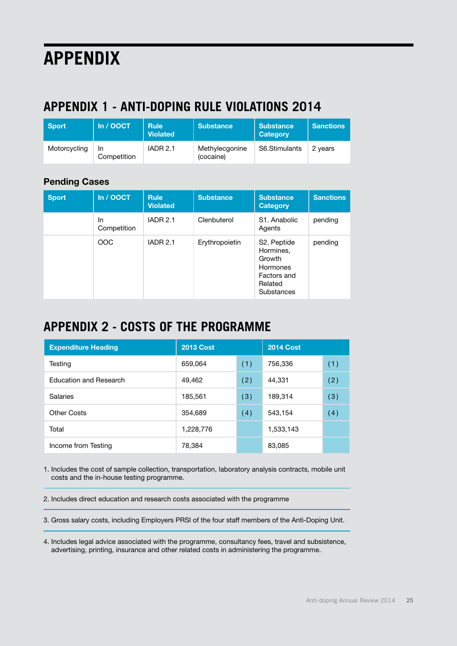## **APPENDIX**

## **Appendix 1 - Anti-Doping Rule Violations 2014**

| <b>Sport</b> | ln / OOCT         | <b>Rule</b><br><b>Violated</b> | Substance                   | <b>Substance</b><br><b>Category</b> | <b>Sanctions</b> |
|--------------|-------------------|--------------------------------|-----------------------------|-------------------------------------|------------------|
| Motorcycling | In<br>Competition | IADR 2.1                       | Methylecgonine<br>(cocaine) | S6.Stimulants                       | 2 years          |

#### **Pending Cases**

| <b>Sport</b> | In / OOCT          | <b>Rule</b><br><b>Violated</b> | <b>Substance</b> | <b>Substance</b><br><b>Category</b>                                                                 | <b>Sanctions</b> |
|--------------|--------------------|--------------------------------|------------------|-----------------------------------------------------------------------------------------------------|------------------|
|              | In.<br>Competition | <b>IADR 2.1</b>                | Clenbuterol      | S1. Anabolic<br>Agents                                                                              | pending          |
|              | OOC                | <b>IADR 2.1</b>                | Erythropoietin   | S <sub>2</sub> . Peptide<br>Hormines,<br>Growth<br>Hormones<br>Factors and<br>Related<br>Substances | pending          |

## **Appendix 2 - Costs of the Programme**

| <b>Expenditure Heading</b>    | <b>2013 Cost</b> |     | <b>2014 Cost</b> |     |  |
|-------------------------------|------------------|-----|------------------|-----|--|
| Testing                       | 659,064          | (1) | 756,336          | (1) |  |
| <b>Education and Research</b> | 49,462           | (2) | 44.331           | (2) |  |
| Salaries                      | 185,561          | (3) | 189,314          | (3) |  |
| <b>Other Costs</b>            | 354,689          | (4) | 543,154          | (4) |  |
| Total                         | 1,228,776        |     | 1,533,143        |     |  |
| Income from Testing           | 78,384           |     | 83,085           |     |  |

1. Includes the cost of sample collection, transportation, laboratory analysis contracts, mobile unit costs and the in-house testing programme.

2. Includes direct education and research costs associated with the programme

3. Gross salary costs, including Employers PRSI of the four staff members of the Anti-Doping Unit.

4. Includes legal advice associated with the programme, consultancy fees, travel and subsistence, advertising, printing, insurance and other related costs in administering the programme.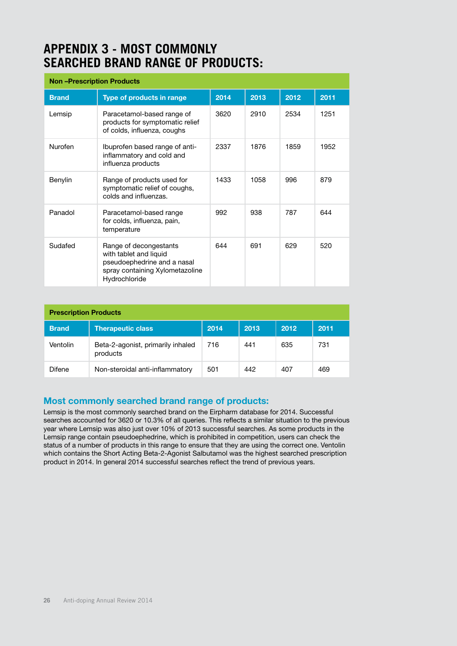## **Appendix 3 - Most commonly searched brand range of products:**

| <b>Non-Prescription Products</b> |                                                                                                                                     |      |      |      |      |  |
|----------------------------------|-------------------------------------------------------------------------------------------------------------------------------------|------|------|------|------|--|
| <b>Brand</b>                     | Type of products in range                                                                                                           | 2014 | 2013 | 2012 | 2011 |  |
| Lemsip                           | Paracetamol-based range of<br>products for symptomatic relief<br>of colds, influenza, coughs                                        | 3620 | 2910 | 2534 | 1251 |  |
| <b>Nurofen</b>                   | Ibuprofen based range of anti-<br>inflammatory and cold and<br>influenza products                                                   | 2337 | 1876 | 1859 | 1952 |  |
| Benylin                          | Range of products used for<br>symptomatic relief of coughs,<br>colds and influenzas.                                                | 1433 | 1058 | 996  | 879  |  |
| Panadol                          | Paracetamol-based range<br>for colds, influenza, pain,<br>temperature                                                               | 992  | 938  | 787  | 644  |  |
| Sudafed                          | Range of decongestants<br>with tablet and liquid<br>pseudoephedrine and a nasal<br>spray containing Xylometazoline<br>Hydrochloride | 644  | 691  | 629  | 520  |  |

| <b>Prescription Products</b> |                                               |      |      |      |      |  |
|------------------------------|-----------------------------------------------|------|------|------|------|--|
| <b>Brand</b>                 | <b>Therapeutic class</b>                      | 2014 | 2013 | 2012 | 2011 |  |
| Ventolin                     | Beta-2-agonist, primarily inhaled<br>products | 716  | 441  | 635  | 731  |  |
| Difene                       | Non-steroidal anti-inflammatory               | 501  | 442  | 407  | 469  |  |

#### **Most commonly searched brand range of products:**

Lemsip is the most commonly searched brand on the Eirpharm database for 2014. Successful searches accounted for 3620 or 10.3% of all queries. This reflects a similar situation to the previous year where Lemsip was also just over 10% of 2013 successful searches. As some products in the Lemsip range contain pseudoephedrine, which is prohibited in competition, users can check the status of a number of products in this range to ensure that they are using the correct one. Ventolin which contains the Short Acting Beta-2-Agonist Salbutamol was the highest searched prescription product in 2014. In general 2014 successful searches reflect the trend of previous years.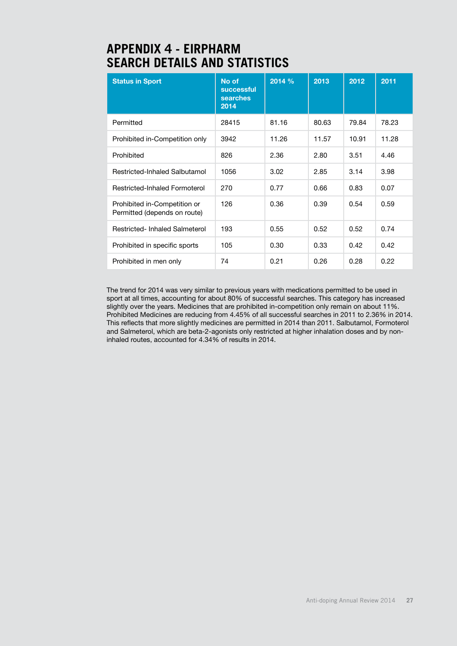## **Appendix 4 - Eirpharm Search Details and Statistics**

| <b>Status in Sport</b>                                       | No of<br><b>successful</b><br>searches<br>2014 | 2014 % | 2013  | 2012  | 2011  |
|--------------------------------------------------------------|------------------------------------------------|--------|-------|-------|-------|
| Permitted                                                    | 28415                                          | 81.16  | 80.63 | 79.84 | 78.23 |
| Prohibited in-Competition only                               | 3942                                           | 11.26  | 11.57 | 10.91 | 11.28 |
| Prohibited                                                   | 826                                            | 2.36   | 2.80  | 3.51  | 4.46  |
| Restricted-Inhaled Salbutamol                                | 1056                                           | 3.02   | 2.85  | 3.14  | 3.98  |
| <b>Restricted-Inhaled Formoterol</b>                         | 270                                            | 0.77   | 0.66  | 0.83  | 0.07  |
| Prohibited in-Competition or<br>Permitted (depends on route) | 126                                            | 0.36   | 0.39  | 0.54  | 0.59  |
| <b>Restricted-Inhaled Salmeterol</b>                         | 193                                            | 0.55   | 0.52  | 0.52  | 0.74  |
| Prohibited in specific sports                                | 105                                            | 0.30   | 0.33  | 0.42  | 0.42  |
| Prohibited in men only                                       | 74                                             | 0.21   | 0.26  | 0.28  | 0.22  |

The trend for 2014 was very similar to previous years with medications permitted to be used in sport at all times, accounting for about 80% of successful searches. This category has increased slightly over the years. Medicines that are prohibited in-competition only remain on about 11%. Prohibited Medicines are reducing from 4.45% of all successful searches in 2011 to 2.36% in 2014. This reflects that more slightly medicines are permitted in 2014 than 2011. Salbutamol, Formoterol and Salmeterol, which are beta-2-agonists only restricted at higher inhalation doses and by noninhaled routes, accounted for 4.34% of results in 2014.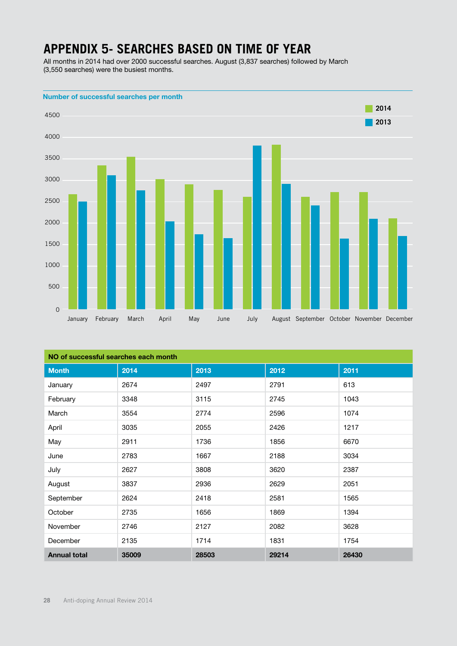## **Appendix 5- Searches based on time of Year**

All months in 2014 had over 2000 successful searches. August (3,837 searches) followed by March (3,550 searches) were the busiest months.



| NO of successful searches each month |       |       |       |       |  |
|--------------------------------------|-------|-------|-------|-------|--|
| <b>Month</b>                         | 2014  | 2013  | 2012  | 2011  |  |
| January                              | 2674  | 2497  | 2791  | 613   |  |
| February                             | 3348  | 3115  | 2745  | 1043  |  |
| March                                | 3554  | 2774  | 2596  | 1074  |  |
| April                                | 3035  | 2055  | 2426  | 1217  |  |
| May                                  | 2911  | 1736  | 1856  | 6670  |  |
| June                                 | 2783  | 1667  | 2188  | 3034  |  |
| July                                 | 2627  | 3808  | 3620  | 2387  |  |
| August                               | 3837  | 2936  | 2629  | 2051  |  |
| September                            | 2624  | 2418  | 2581  | 1565  |  |
| October                              | 2735  | 1656  | 1869  | 1394  |  |
| November                             | 2746  | 2127  | 2082  | 3628  |  |
| December                             | 2135  | 1714  | 1831  | 1754  |  |
| <b>Annual total</b>                  | 35009 | 28503 | 29214 | 26430 |  |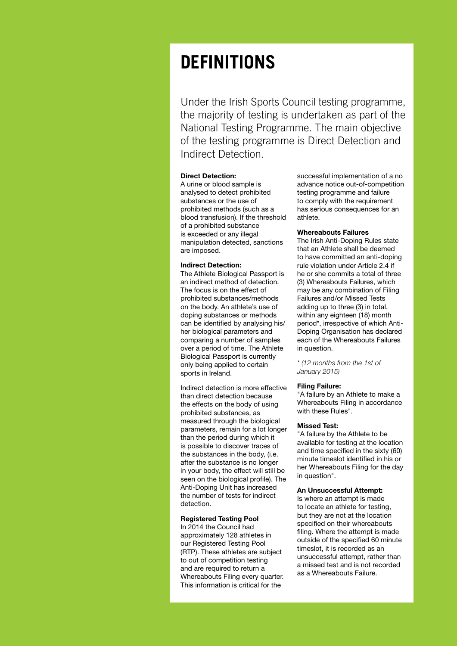## **Definitions**

Under the Irish Sports Council testing programme, the majority of testing is undertaken as part of the National Testing Programme. The main objective of the testing programme is Direct Detection and Indirect Detection.

#### **Direct Detection:**

A urine or blood sample is analysed to detect prohibited substances or the use of prohibited methods (such as a blood transfusion). If the threshold of a prohibited substance is exceeded or any illegal manipulation detected, sanctions are imposed.

#### **Indirect Detection:**

The Athlete Biological Passport is an indirect method of detection. The focus is on the effect of prohibited substances/methods on the body. An athlete's use of doping substances or methods can be identified by analysing his/ her biological parameters and comparing a number of samples over a period of time. The Athlete Biological Passport is currently only being applied to certain sports in Ireland.

Indirect detection is more effective than direct detection because the effects on the body of using prohibited substances, as measured through the biological parameters, remain for a lot longer than the period during which it is possible to discover traces of the substances in the body, (i.e. after the substance is no longer in your body, the effect will still be seen on the biological profile). The Anti-Doping Unit has increased the number of tests for indirect detection.

#### **Registered Testing Pool**

In 2014 the Council had approximately 128 athletes in our Registered Testing Pool (RTP). These athletes are subject to out of competition testing and are required to return a Whereabouts Filing every quarter. This information is critical for the

successful implementation of a no advance notice out-of-competition testing programme and failure to comply with the requirement has serious consequences for an athlete.

#### **Whereabouts Failures**

The Irish Anti-Doping Rules state that an Athlete shall be deemed to have committed an anti-doping rule violation under Article 2.4 if he or she commits a total of three (3) Whereabouts Failures, which may be any combination of Filing Failures and/or Missed Tests adding up to three (3) in total, within any eighteen (18) month period\*, irrespective of which Anti-Doping Organisation has declared each of the Whereabouts Failures in question.

#### *\* (12 months from the 1st of January 2015)*

#### **Filing Failure:**

"A failure by an Athlete to make a Whereabouts Filing in accordance with these Rules".

#### **Missed Test:**

"A failure by the Athlete to be available for testing at the location and time specified in the sixty (60) minute timeslot identified in his or her Whereabouts Filing for the day in question".

#### **An Unsuccessful Attempt:**

Is where an attempt is made to locate an athlete for testing, but they are not at the location specified on their whereabouts filing. Where the attempt is made outside of the specified 60 minute timeslot, it is recorded as an unsuccessful attempt, rather than a missed test and is not recorded as a Whereabouts Failure.

Anti-doping Annual Review 2014 **29**